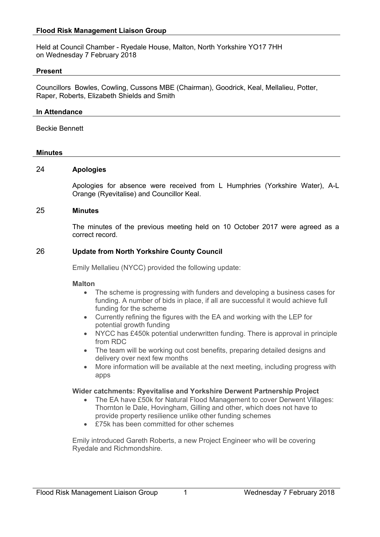Held at Council Chamber - Ryedale House, Malton, North Yorkshire YO17 7HH on Wednesday 7 February 2018

### **Present**

Councillors Bowles, Cowling, Cussons MBE (Chairman), Goodrick, Keal, Mellalieu, Potter, Raper, Roberts, Elizabeth Shields and Smith

### **In Attendance**

Beckie Bennett

## **Minutes**

## 24 **Apologies**

Apologies for absence were received from L Humphries (Yorkshire Water), A-L Orange (Ryevitalise) and Councillor Keal.

## 25 **Minutes**

The minutes of the previous meeting held on 10 October 2017 were agreed as a correct record.

## 26 **Update from North Yorkshire County Council**

Emily Mellalieu (NYCC) provided the following update:

#### **Malton**

- The scheme is progressing with funders and developing a business cases for funding. A number of bids in place, if all are successful it would achieve full funding for the scheme
- Currently refining the figures with the EA and working with the LEP for potential growth funding
- NYCC has £450k potential underwritten funding. There is approval in principle from RDC
- The team will be working out cost benefits, preparing detailed designs and delivery over next few months
- More information will be available at the next meeting, including progress with apps

#### **Wider catchments: Ryevitalise and Yorkshire Derwent Partnership Project**

- The EA have £50k for Natural Flood Management to cover Derwent Villages: Thornton le Dale, Hovingham, Gilling and other, which does not have to provide property resilience unlike other funding schemes
- £75k has been committed for other schemes

Emily introduced Gareth Roberts, a new Project Engineer who will be covering Ryedale and Richmondshire.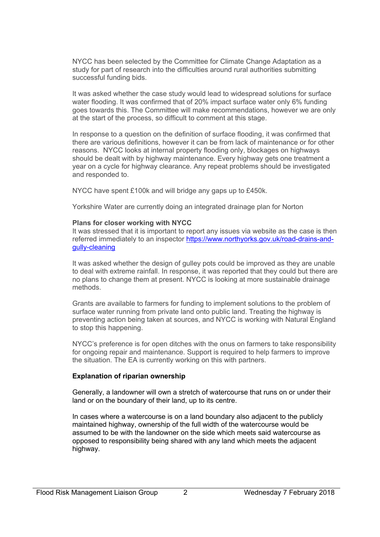NYCC has been selected by the Committee for Climate Change Adaptation as a study for part of research into the difficulties around rural authorities submitting successful funding bids.

It was asked whether the case study would lead to widespread solutions for surface water flooding. It was confirmed that of 20% impact surface water only 6% funding goes towards this. The Committee will make recommendations, however we are only at the start of the process, so difficult to comment at this stage.

In response to a question on the definition of surface flooding, it was confirmed that there are various definitions, however it can be from lack of maintenance or for other reasons. NYCC looks at internal property flooding only, blockages on highways should be dealt with by highway maintenance. Every highway gets one treatment a year on a cycle for highway clearance. Any repeat problems should be investigated and responded to.

NYCC have spent £100k and will bridge any gaps up to £450k.

Yorkshire Water are currently doing an integrated drainage plan for Norton

## **Plans for closer working with NYCC**

It was stressed that it is important to report any issues via website as the case is then referred immediately to an inspector [https://www.northyorks.gov.uk/road-drains-and](https://www.northyorks.gov.uk/road-drains-and-gully-cleaning)[gully-cleaning](https://www.northyorks.gov.uk/road-drains-and-gully-cleaning)

It was asked whether the design of gulley pots could be improved as they are unable to deal with extreme rainfall. In response, it was reported that they could but there are no plans to change them at present. NYCC is looking at more sustainable drainage methods.

Grants are available to farmers for funding to implement solutions to the problem of surface water running from private land onto public land. Treating the highway is preventing action being taken at sources, and NYCC is working with Natural England to stop this happening.

NYCC's preference is for open ditches with the onus on farmers to take responsibility for ongoing repair and maintenance. Support is required to help farmers to improve the situation. The EA is currently working on this with partners.

## **Explanation of riparian ownership**

Generally, a landowner will own a stretch of watercourse that runs on or under their land or on the boundary of their land, up to its centre.

In cases where a watercourse is on a land boundary also adjacent to the publicly maintained highway, ownership of the full width of the watercourse would be assumed to be with the landowner on the side which meets said watercourse as opposed to responsibility being shared with any land which meets the adjacent highway.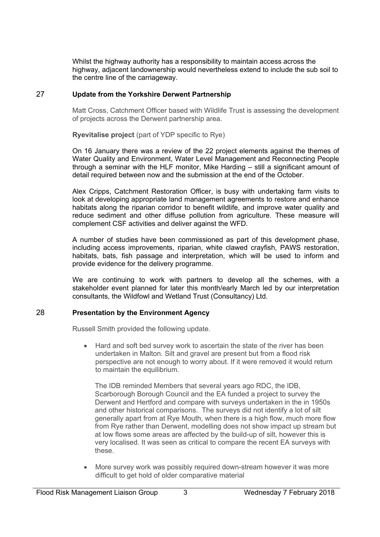Whilst the highway authority has a responsibility to maintain access across the highway, adjacent landownership would nevertheless extend to include the sub soil to the centre line of the carriageway.

# 27 **Update from the Yorkshire Derwent Partnership**

Matt Cross, Catchment Officer based with Wildlife Trust is assessing the development of projects across the Derwent partnership area.

**Ryevitalise project** (part of YDP specific to Rye)

On 16 January there was a review of the 22 project elements against the themes of Water Quality and Environment, Water Level Management and Reconnecting People through a seminar with the HLF monitor, Mike Harding – still a significant amount of detail required between now and the submission at the end of the October.

Alex Cripps, Catchment Restoration Officer, is busy with undertaking farm visits to look at developing appropriate land management agreements to restore and enhance habitats along the riparian corridor to benefit wildlife, and improve water quality and reduce sediment and other diffuse pollution from agriculture. These measure will complement CSF activities and deliver against the WFD.

A number of studies have been commissioned as part of this development phase, including access improvements, riparian, white clawed crayfish, PAWS restoration, habitats, bats, fish passage and interpretation, which will be used to inform and provide evidence for the delivery programme.

We are continuing to work with partners to develop all the schemes, with a stakeholder event planned for later this month/early March led by our interpretation consultants, the Wildfowl and Wetland Trust (Consultancy) Ltd.

# 28 **Presentation by the Environment Agency**

Russell Smith provided the following update.

 Hard and soft bed survey work to ascertain the state of the river has been undertaken in Malton. Silt and gravel are present but from a flood risk perspective are not enough to worry about. If it were removed it would return to maintain the equilibrium.

The IDB reminded Members that several years ago RDC, the IDB, Scarborough Borough Council and the EA funded a project to survey the Derwent and Hertford and compare with surveys undertaken in the in 1950s and other historical comparisons. The surveys did not identify a lot of silt generally apart from at Rye Mouth, when there is a high flow, much more flow from Rye rather than Derwent, modelling does not show impact up stream but at low flows some areas are affected by the build-up of silt, however this is very localised. It was seen as critical to compare the recent EA surveys with these.

 More survey work was possibly required down-stream however it was more difficult to get hold of older comparative material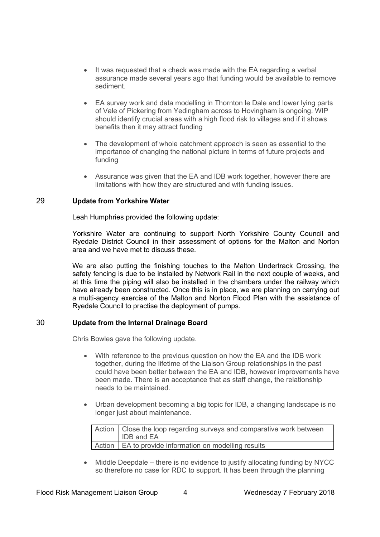- It was requested that a check was made with the EA regarding a verbal assurance made several years ago that funding would be available to remove sediment.
- EA survey work and data modelling in Thornton le Dale and lower lying parts of Vale of Pickering from Yedingham across to Hovingham is ongoing. WIP should identify crucial areas with a high flood risk to villages and if it shows benefits then it may attract funding
- The development of whole catchment approach is seen as essential to the importance of changing the national picture in terms of future projects and funding
- Assurance was given that the EA and IDB work together, however there are limitations with how they are structured and with funding issues.

# 29 **Update from Yorkshire Water**

Leah Humphries provided the following update:

Yorkshire Water are continuing to support North Yorkshire County Council and Ryedale District Council in their assessment of options for the Malton and Norton area and we have met to discuss these.

We are also putting the finishing touches to the Malton Undertrack Crossing, the safety fencing is due to be installed by Network Rail in the next couple of weeks, and at this time the piping will also be installed in the chambers under the railway which have already been constructed. Once this is in place, we are planning on carrying out a multi-agency exercise of the Malton and Norton Flood Plan with the assistance of Ryedale Council to practise the deployment of pumps.

# 30 **Update from the Internal Drainage Board**

Chris Bowles gave the following update.

- With reference to the previous question on how the EA and the IDB work together, during the lifetime of the Liaison Group relationships in the past could have been better between the EA and IDB, however improvements have been made. There is an acceptance that as staff change, the relationship needs to be maintained.
- Urban development becoming a big topic for IDB, a changing landscape is no longer just about maintenance.

| Action   Close the loop regarding surveys and comparative work between<br><b>IDB</b> and EA |
|---------------------------------------------------------------------------------------------|
| Action   EA to provide information on modelling results                                     |

• Middle Deepdale – there is no evidence to justify allocating funding by NYCC so therefore no case for RDC to support. It has been through the planning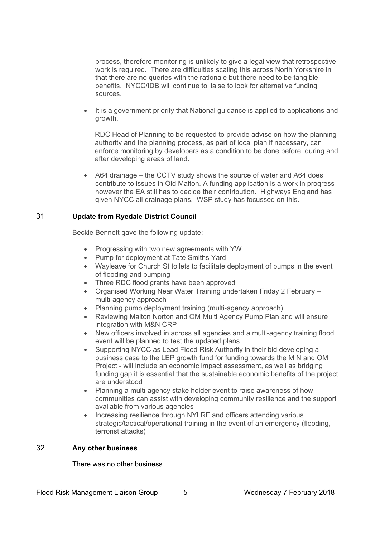process, therefore monitoring is unlikely to give a legal view that retrospective work is required. There are difficulties scaling this across North Yorkshire in that there are no queries with the rationale but there need to be tangible benefits. NYCC/IDB will continue to liaise to look for alternative funding sources.

 It is a government priority that National guidance is applied to applications and growth.

RDC Head of Planning to be requested to provide advise on how the planning authority and the planning process, as part of local plan if necessary, can enforce monitoring by developers as a condition to be done before, during and after developing areas of land.

 A64 drainage – the CCTV study shows the source of water and A64 does contribute to issues in Old Malton. A funding application is a work in progress however the EA still has to decide their contribution. Highways England has given NYCC all drainage plans. WSP study has focussed on this.

# 31 **Update from Ryedale District Council**

Beckie Bennett gave the following update:

- Progressing with two new agreements with YW
- Pump for deployment at Tate Smiths Yard
- Wayleave for Church St toilets to facilitate deployment of pumps in the event of flooding and pumping
- Three RDC flood grants have been approved
- Organised Working Near Water Training undertaken Friday 2 February multi-agency approach
- Planning pump deployment training (multi-agency approach)
- Reviewing Malton Norton and OM Multi Agency Pump Plan and will ensure integration with M&N CRP
- New officers involved in across all agencies and a multi-agency training flood event will be planned to test the updated plans
- Supporting NYCC as Lead Flood Risk Authority in their bid developing a business case to the LEP growth fund for funding towards the M N and OM Project - will include an economic impact assessment, as well as bridging funding gap it is essential that the sustainable economic benefits of the project are understood
- Planning a multi-agency stake holder event to raise awareness of how communities can assist with developing community resilience and the support available from various agencies
- Increasing resilience through NYLRF and officers attending various strategic/tactical/operational training in the event of an emergency (flooding, terrorist attacks)

# 32 **Any other business**

There was no other business.